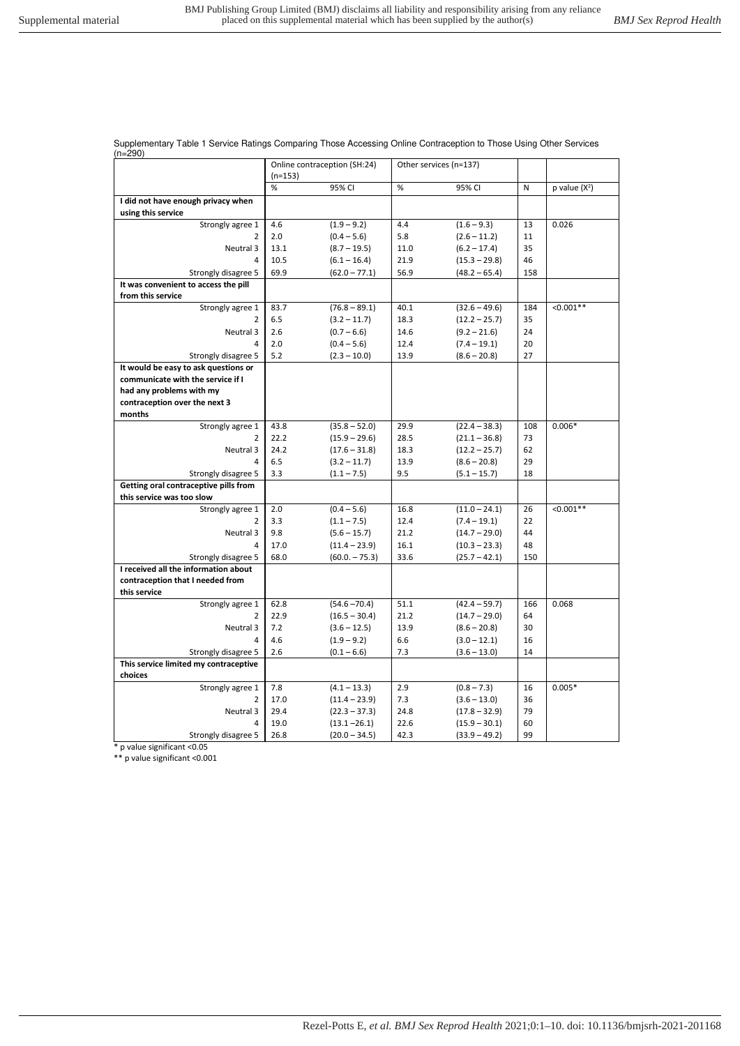Supplementary Table 1 Service Ratings Comparing Those Accessing Online Contraception to Those Using Other Services

| Online contraception (SH:24)<br>Other services (n=137)<br>$(n=153)$<br>%<br>%<br>N<br>$p$ value $(X^2)$<br>95% CI<br>95% CI<br>I did not have enough privacy when<br>using this service<br>$(1.9 - 9.2)$<br>13<br>0.026<br>Strongly agree 1<br>4.6<br>4.4<br>$(1.6 - 9.3)$<br>5.8<br>$\overline{2}$<br>2.0<br>11<br>$(0.4 - 5.6)$<br>$(2.6 - 11.2)$<br>Neutral 3<br>35<br>13.1<br>$(8.7 - 19.5)$<br>11.0<br>$(6.2 - 17.4)$<br>10.5<br>21.9<br>46<br>4<br>$(6.1 - 16.4)$<br>$(15.3 - 29.8)$<br>69.9<br>Strongly disagree 5<br>$(62.0 - 77.1)$<br>56.9<br>$(48.2 - 65.4)$<br>158<br>It was convenient to access the pill<br>from this service<br>Strongly agree 1<br>$(76.8 - 89.1)$<br>40.1<br>184<br>$< 0.001**$<br>83.7<br>$(32.6 - 49.6)$<br>6.5<br>$(3.2 - 11.7)$<br>18.3<br>35<br>2<br>$(12.2 - 25.7)$<br>Neutral 3<br>14.6<br>24<br>2.6<br>$(0.7 - 6.6)$<br>$(9.2 - 21.6)$<br>2.0<br>$(0.4 - 5.6)$<br>12.4<br>20<br>4<br>$(7.4 - 19.1)$<br>Strongly disagree 5<br>5.2<br>13.9<br>27<br>$(2.3 - 10.0)$<br>$(8.6 - 20.8)$<br>It would be easy to ask questions or<br>communicate with the service if I<br>had any problems with my<br>contraception over the next 3<br>months<br>43.8<br>$(35.8 - 52.0)$<br>29.9<br>$(22.4 - 38.3)$<br>108<br>$0.006*$<br>Strongly agree 1<br>22.2<br>28.5<br>73<br>2<br>$(15.9 - 29.6)$<br>$(21.1 - 36.8)$<br>Neutral 3<br>62<br>24.2<br>$(17.6 - 31.8)$<br>18.3<br>$(12.2 - 25.7)$<br>6.5<br>13.9<br>29<br>4<br>$(3.2 - 11.7)$<br>$(8.6 - 20.8)$<br>3.3<br>9.5<br>18<br>Strongly disagree 5<br>$(1.1 - 7.5)$<br>$(5.1 - 15.7)$<br>Getting oral contraceptive pills from<br>this service was too slow<br>Strongly agree 1<br>26<br>$< 0.001**$<br>2.0<br>$(0.4 - 5.6)$<br>16.8<br>$(11.0 - 24.1)$<br>22<br>3.3<br>12.4<br>$(7.4 - 19.1)$<br>2<br>$(1.1 - 7.5)$<br>Neutral 3<br>9.8<br>$(5.6 - 15.7)$<br>21.2<br>$(14.7 - 29.0)$<br>44<br>17.0<br>$(11.4 - 23.9)$<br>16.1<br>48<br>4<br>$(10.3 - 23.3)$<br>Strongly disagree 5<br>68.0<br>33.6<br>$(60.0 - 75.3)$<br>$(25.7 - 42.1)$<br>150<br>I received all the information about<br>contraception that I needed from<br>this service<br>$(54.6 - 70.4)$<br>166<br>0.068<br>Strongly agree 1<br>62.8<br>51.1<br>$(42.4 - 59.7)$<br>22.9<br>21.2<br>64<br>2<br>$(16.5 - 30.4)$<br>$(14.7 - 29.0)$<br>Neutral 3<br>7.2<br>$(3.6 - 12.5)$<br>13.9<br>$(8.6 - 20.8)$<br>30<br>4.6<br>$(1.9 - 9.2)$<br>6.6<br>16<br>4<br>$(3.0 - 12.1)$<br>Strongly disagree 5<br>2.6<br>$(0.1 - 6.6)$<br>7.3<br>$(3.6 - 13.0)$<br>14<br>This service limited my contraceptive<br>choices<br>Strongly agree 1<br>7.8<br>16<br>$0.005*$<br>$(4.1 - 13.3)$<br>2.9<br>$(0.8 - 7.3)$ | (n=290) |      |                 |     |                |    |  |
|--------------------------------------------------------------------------------------------------------------------------------------------------------------------------------------------------------------------------------------------------------------------------------------------------------------------------------------------------------------------------------------------------------------------------------------------------------------------------------------------------------------------------------------------------------------------------------------------------------------------------------------------------------------------------------------------------------------------------------------------------------------------------------------------------------------------------------------------------------------------------------------------------------------------------------------------------------------------------------------------------------------------------------------------------------------------------------------------------------------------------------------------------------------------------------------------------------------------------------------------------------------------------------------------------------------------------------------------------------------------------------------------------------------------------------------------------------------------------------------------------------------------------------------------------------------------------------------------------------------------------------------------------------------------------------------------------------------------------------------------------------------------------------------------------------------------------------------------------------------------------------------------------------------------------------------------------------------------------------------------------------------------------------------------------------------------------------------------------------------------------------------------------------------------------------------------------------------------------------------------------------------------------------------------------------------------------------------------------------------------------------------------------------------------------------------------------------------------------------------------------------------------------------------------------------------------------------------------------------------------------------------------------|---------|------|-----------------|-----|----------------|----|--|
|                                                                                                                                                                                                                                                                                                                                                                                                                                                                                                                                                                                                                                                                                                                                                                                                                                                                                                                                                                                                                                                                                                                                                                                                                                                                                                                                                                                                                                                                                                                                                                                                                                                                                                                                                                                                                                                                                                                                                                                                                                                                                                                                                                                                                                                                                                                                                                                                                                                                                                                                                                                                                                                  |         |      |                 |     |                |    |  |
|                                                                                                                                                                                                                                                                                                                                                                                                                                                                                                                                                                                                                                                                                                                                                                                                                                                                                                                                                                                                                                                                                                                                                                                                                                                                                                                                                                                                                                                                                                                                                                                                                                                                                                                                                                                                                                                                                                                                                                                                                                                                                                                                                                                                                                                                                                                                                                                                                                                                                                                                                                                                                                                  |         |      |                 |     |                |    |  |
|                                                                                                                                                                                                                                                                                                                                                                                                                                                                                                                                                                                                                                                                                                                                                                                                                                                                                                                                                                                                                                                                                                                                                                                                                                                                                                                                                                                                                                                                                                                                                                                                                                                                                                                                                                                                                                                                                                                                                                                                                                                                                                                                                                                                                                                                                                                                                                                                                                                                                                                                                                                                                                                  |         |      |                 |     |                |    |  |
|                                                                                                                                                                                                                                                                                                                                                                                                                                                                                                                                                                                                                                                                                                                                                                                                                                                                                                                                                                                                                                                                                                                                                                                                                                                                                                                                                                                                                                                                                                                                                                                                                                                                                                                                                                                                                                                                                                                                                                                                                                                                                                                                                                                                                                                                                                                                                                                                                                                                                                                                                                                                                                                  |         |      |                 |     |                |    |  |
|                                                                                                                                                                                                                                                                                                                                                                                                                                                                                                                                                                                                                                                                                                                                                                                                                                                                                                                                                                                                                                                                                                                                                                                                                                                                                                                                                                                                                                                                                                                                                                                                                                                                                                                                                                                                                                                                                                                                                                                                                                                                                                                                                                                                                                                                                                                                                                                                                                                                                                                                                                                                                                                  |         |      |                 |     |                |    |  |
|                                                                                                                                                                                                                                                                                                                                                                                                                                                                                                                                                                                                                                                                                                                                                                                                                                                                                                                                                                                                                                                                                                                                                                                                                                                                                                                                                                                                                                                                                                                                                                                                                                                                                                                                                                                                                                                                                                                                                                                                                                                                                                                                                                                                                                                                                                                                                                                                                                                                                                                                                                                                                                                  |         |      |                 |     |                |    |  |
|                                                                                                                                                                                                                                                                                                                                                                                                                                                                                                                                                                                                                                                                                                                                                                                                                                                                                                                                                                                                                                                                                                                                                                                                                                                                                                                                                                                                                                                                                                                                                                                                                                                                                                                                                                                                                                                                                                                                                                                                                                                                                                                                                                                                                                                                                                                                                                                                                                                                                                                                                                                                                                                  |         |      |                 |     |                |    |  |
|                                                                                                                                                                                                                                                                                                                                                                                                                                                                                                                                                                                                                                                                                                                                                                                                                                                                                                                                                                                                                                                                                                                                                                                                                                                                                                                                                                                                                                                                                                                                                                                                                                                                                                                                                                                                                                                                                                                                                                                                                                                                                                                                                                                                                                                                                                                                                                                                                                                                                                                                                                                                                                                  |         |      |                 |     |                |    |  |
|                                                                                                                                                                                                                                                                                                                                                                                                                                                                                                                                                                                                                                                                                                                                                                                                                                                                                                                                                                                                                                                                                                                                                                                                                                                                                                                                                                                                                                                                                                                                                                                                                                                                                                                                                                                                                                                                                                                                                                                                                                                                                                                                                                                                                                                                                                                                                                                                                                                                                                                                                                                                                                                  |         |      |                 |     |                |    |  |
|                                                                                                                                                                                                                                                                                                                                                                                                                                                                                                                                                                                                                                                                                                                                                                                                                                                                                                                                                                                                                                                                                                                                                                                                                                                                                                                                                                                                                                                                                                                                                                                                                                                                                                                                                                                                                                                                                                                                                                                                                                                                                                                                                                                                                                                                                                                                                                                                                                                                                                                                                                                                                                                  |         |      |                 |     |                |    |  |
|                                                                                                                                                                                                                                                                                                                                                                                                                                                                                                                                                                                                                                                                                                                                                                                                                                                                                                                                                                                                                                                                                                                                                                                                                                                                                                                                                                                                                                                                                                                                                                                                                                                                                                                                                                                                                                                                                                                                                                                                                                                                                                                                                                                                                                                                                                                                                                                                                                                                                                                                                                                                                                                  |         |      |                 |     |                |    |  |
|                                                                                                                                                                                                                                                                                                                                                                                                                                                                                                                                                                                                                                                                                                                                                                                                                                                                                                                                                                                                                                                                                                                                                                                                                                                                                                                                                                                                                                                                                                                                                                                                                                                                                                                                                                                                                                                                                                                                                                                                                                                                                                                                                                                                                                                                                                                                                                                                                                                                                                                                                                                                                                                  |         |      |                 |     |                |    |  |
|                                                                                                                                                                                                                                                                                                                                                                                                                                                                                                                                                                                                                                                                                                                                                                                                                                                                                                                                                                                                                                                                                                                                                                                                                                                                                                                                                                                                                                                                                                                                                                                                                                                                                                                                                                                                                                                                                                                                                                                                                                                                                                                                                                                                                                                                                                                                                                                                                                                                                                                                                                                                                                                  |         |      |                 |     |                |    |  |
|                                                                                                                                                                                                                                                                                                                                                                                                                                                                                                                                                                                                                                                                                                                                                                                                                                                                                                                                                                                                                                                                                                                                                                                                                                                                                                                                                                                                                                                                                                                                                                                                                                                                                                                                                                                                                                                                                                                                                                                                                                                                                                                                                                                                                                                                                                                                                                                                                                                                                                                                                                                                                                                  |         |      |                 |     |                |    |  |
|                                                                                                                                                                                                                                                                                                                                                                                                                                                                                                                                                                                                                                                                                                                                                                                                                                                                                                                                                                                                                                                                                                                                                                                                                                                                                                                                                                                                                                                                                                                                                                                                                                                                                                                                                                                                                                                                                                                                                                                                                                                                                                                                                                                                                                                                                                                                                                                                                                                                                                                                                                                                                                                  |         |      |                 |     |                |    |  |
|                                                                                                                                                                                                                                                                                                                                                                                                                                                                                                                                                                                                                                                                                                                                                                                                                                                                                                                                                                                                                                                                                                                                                                                                                                                                                                                                                                                                                                                                                                                                                                                                                                                                                                                                                                                                                                                                                                                                                                                                                                                                                                                                                                                                                                                                                                                                                                                                                                                                                                                                                                                                                                                  |         |      |                 |     |                |    |  |
|                                                                                                                                                                                                                                                                                                                                                                                                                                                                                                                                                                                                                                                                                                                                                                                                                                                                                                                                                                                                                                                                                                                                                                                                                                                                                                                                                                                                                                                                                                                                                                                                                                                                                                                                                                                                                                                                                                                                                                                                                                                                                                                                                                                                                                                                                                                                                                                                                                                                                                                                                                                                                                                  |         |      |                 |     |                |    |  |
|                                                                                                                                                                                                                                                                                                                                                                                                                                                                                                                                                                                                                                                                                                                                                                                                                                                                                                                                                                                                                                                                                                                                                                                                                                                                                                                                                                                                                                                                                                                                                                                                                                                                                                                                                                                                                                                                                                                                                                                                                                                                                                                                                                                                                                                                                                                                                                                                                                                                                                                                                                                                                                                  |         |      |                 |     |                |    |  |
|                                                                                                                                                                                                                                                                                                                                                                                                                                                                                                                                                                                                                                                                                                                                                                                                                                                                                                                                                                                                                                                                                                                                                                                                                                                                                                                                                                                                                                                                                                                                                                                                                                                                                                                                                                                                                                                                                                                                                                                                                                                                                                                                                                                                                                                                                                                                                                                                                                                                                                                                                                                                                                                  |         |      |                 |     |                |    |  |
|                                                                                                                                                                                                                                                                                                                                                                                                                                                                                                                                                                                                                                                                                                                                                                                                                                                                                                                                                                                                                                                                                                                                                                                                                                                                                                                                                                                                                                                                                                                                                                                                                                                                                                                                                                                                                                                                                                                                                                                                                                                                                                                                                                                                                                                                                                                                                                                                                                                                                                                                                                                                                                                  |         |      |                 |     |                |    |  |
|                                                                                                                                                                                                                                                                                                                                                                                                                                                                                                                                                                                                                                                                                                                                                                                                                                                                                                                                                                                                                                                                                                                                                                                                                                                                                                                                                                                                                                                                                                                                                                                                                                                                                                                                                                                                                                                                                                                                                                                                                                                                                                                                                                                                                                                                                                                                                                                                                                                                                                                                                                                                                                                  |         |      |                 |     |                |    |  |
|                                                                                                                                                                                                                                                                                                                                                                                                                                                                                                                                                                                                                                                                                                                                                                                                                                                                                                                                                                                                                                                                                                                                                                                                                                                                                                                                                                                                                                                                                                                                                                                                                                                                                                                                                                                                                                                                                                                                                                                                                                                                                                                                                                                                                                                                                                                                                                                                                                                                                                                                                                                                                                                  |         |      |                 |     |                |    |  |
|                                                                                                                                                                                                                                                                                                                                                                                                                                                                                                                                                                                                                                                                                                                                                                                                                                                                                                                                                                                                                                                                                                                                                                                                                                                                                                                                                                                                                                                                                                                                                                                                                                                                                                                                                                                                                                                                                                                                                                                                                                                                                                                                                                                                                                                                                                                                                                                                                                                                                                                                                                                                                                                  |         |      |                 |     |                |    |  |
|                                                                                                                                                                                                                                                                                                                                                                                                                                                                                                                                                                                                                                                                                                                                                                                                                                                                                                                                                                                                                                                                                                                                                                                                                                                                                                                                                                                                                                                                                                                                                                                                                                                                                                                                                                                                                                                                                                                                                                                                                                                                                                                                                                                                                                                                                                                                                                                                                                                                                                                                                                                                                                                  |         |      |                 |     |                |    |  |
|                                                                                                                                                                                                                                                                                                                                                                                                                                                                                                                                                                                                                                                                                                                                                                                                                                                                                                                                                                                                                                                                                                                                                                                                                                                                                                                                                                                                                                                                                                                                                                                                                                                                                                                                                                                                                                                                                                                                                                                                                                                                                                                                                                                                                                                                                                                                                                                                                                                                                                                                                                                                                                                  |         |      |                 |     |                |    |  |
|                                                                                                                                                                                                                                                                                                                                                                                                                                                                                                                                                                                                                                                                                                                                                                                                                                                                                                                                                                                                                                                                                                                                                                                                                                                                                                                                                                                                                                                                                                                                                                                                                                                                                                                                                                                                                                                                                                                                                                                                                                                                                                                                                                                                                                                                                                                                                                                                                                                                                                                                                                                                                                                  |         |      |                 |     |                |    |  |
|                                                                                                                                                                                                                                                                                                                                                                                                                                                                                                                                                                                                                                                                                                                                                                                                                                                                                                                                                                                                                                                                                                                                                                                                                                                                                                                                                                                                                                                                                                                                                                                                                                                                                                                                                                                                                                                                                                                                                                                                                                                                                                                                                                                                                                                                                                                                                                                                                                                                                                                                                                                                                                                  |         |      |                 |     |                |    |  |
|                                                                                                                                                                                                                                                                                                                                                                                                                                                                                                                                                                                                                                                                                                                                                                                                                                                                                                                                                                                                                                                                                                                                                                                                                                                                                                                                                                                                                                                                                                                                                                                                                                                                                                                                                                                                                                                                                                                                                                                                                                                                                                                                                                                                                                                                                                                                                                                                                                                                                                                                                                                                                                                  |         |      |                 |     |                |    |  |
|                                                                                                                                                                                                                                                                                                                                                                                                                                                                                                                                                                                                                                                                                                                                                                                                                                                                                                                                                                                                                                                                                                                                                                                                                                                                                                                                                                                                                                                                                                                                                                                                                                                                                                                                                                                                                                                                                                                                                                                                                                                                                                                                                                                                                                                                                                                                                                                                                                                                                                                                                                                                                                                  |         |      |                 |     |                |    |  |
|                                                                                                                                                                                                                                                                                                                                                                                                                                                                                                                                                                                                                                                                                                                                                                                                                                                                                                                                                                                                                                                                                                                                                                                                                                                                                                                                                                                                                                                                                                                                                                                                                                                                                                                                                                                                                                                                                                                                                                                                                                                                                                                                                                                                                                                                                                                                                                                                                                                                                                                                                                                                                                                  |         |      |                 |     |                |    |  |
|                                                                                                                                                                                                                                                                                                                                                                                                                                                                                                                                                                                                                                                                                                                                                                                                                                                                                                                                                                                                                                                                                                                                                                                                                                                                                                                                                                                                                                                                                                                                                                                                                                                                                                                                                                                                                                                                                                                                                                                                                                                                                                                                                                                                                                                                                                                                                                                                                                                                                                                                                                                                                                                  |         |      |                 |     |                |    |  |
|                                                                                                                                                                                                                                                                                                                                                                                                                                                                                                                                                                                                                                                                                                                                                                                                                                                                                                                                                                                                                                                                                                                                                                                                                                                                                                                                                                                                                                                                                                                                                                                                                                                                                                                                                                                                                                                                                                                                                                                                                                                                                                                                                                                                                                                                                                                                                                                                                                                                                                                                                                                                                                                  |         |      |                 |     |                |    |  |
|                                                                                                                                                                                                                                                                                                                                                                                                                                                                                                                                                                                                                                                                                                                                                                                                                                                                                                                                                                                                                                                                                                                                                                                                                                                                                                                                                                                                                                                                                                                                                                                                                                                                                                                                                                                                                                                                                                                                                                                                                                                                                                                                                                                                                                                                                                                                                                                                                                                                                                                                                                                                                                                  |         |      |                 |     |                |    |  |
|                                                                                                                                                                                                                                                                                                                                                                                                                                                                                                                                                                                                                                                                                                                                                                                                                                                                                                                                                                                                                                                                                                                                                                                                                                                                                                                                                                                                                                                                                                                                                                                                                                                                                                                                                                                                                                                                                                                                                                                                                                                                                                                                                                                                                                                                                                                                                                                                                                                                                                                                                                                                                                                  |         |      |                 |     |                |    |  |
|                                                                                                                                                                                                                                                                                                                                                                                                                                                                                                                                                                                                                                                                                                                                                                                                                                                                                                                                                                                                                                                                                                                                                                                                                                                                                                                                                                                                                                                                                                                                                                                                                                                                                                                                                                                                                                                                                                                                                                                                                                                                                                                                                                                                                                                                                                                                                                                                                                                                                                                                                                                                                                                  |         |      |                 |     |                |    |  |
|                                                                                                                                                                                                                                                                                                                                                                                                                                                                                                                                                                                                                                                                                                                                                                                                                                                                                                                                                                                                                                                                                                                                                                                                                                                                                                                                                                                                                                                                                                                                                                                                                                                                                                                                                                                                                                                                                                                                                                                                                                                                                                                                                                                                                                                                                                                                                                                                                                                                                                                                                                                                                                                  |         |      |                 |     |                |    |  |
|                                                                                                                                                                                                                                                                                                                                                                                                                                                                                                                                                                                                                                                                                                                                                                                                                                                                                                                                                                                                                                                                                                                                                                                                                                                                                                                                                                                                                                                                                                                                                                                                                                                                                                                                                                                                                                                                                                                                                                                                                                                                                                                                                                                                                                                                                                                                                                                                                                                                                                                                                                                                                                                  |         |      |                 |     |                |    |  |
|                                                                                                                                                                                                                                                                                                                                                                                                                                                                                                                                                                                                                                                                                                                                                                                                                                                                                                                                                                                                                                                                                                                                                                                                                                                                                                                                                                                                                                                                                                                                                                                                                                                                                                                                                                                                                                                                                                                                                                                                                                                                                                                                                                                                                                                                                                                                                                                                                                                                                                                                                                                                                                                  |         |      |                 |     |                |    |  |
|                                                                                                                                                                                                                                                                                                                                                                                                                                                                                                                                                                                                                                                                                                                                                                                                                                                                                                                                                                                                                                                                                                                                                                                                                                                                                                                                                                                                                                                                                                                                                                                                                                                                                                                                                                                                                                                                                                                                                                                                                                                                                                                                                                                                                                                                                                                                                                                                                                                                                                                                                                                                                                                  |         |      |                 |     |                |    |  |
|                                                                                                                                                                                                                                                                                                                                                                                                                                                                                                                                                                                                                                                                                                                                                                                                                                                                                                                                                                                                                                                                                                                                                                                                                                                                                                                                                                                                                                                                                                                                                                                                                                                                                                                                                                                                                                                                                                                                                                                                                                                                                                                                                                                                                                                                                                                                                                                                                                                                                                                                                                                                                                                  |         |      |                 |     |                |    |  |
|                                                                                                                                                                                                                                                                                                                                                                                                                                                                                                                                                                                                                                                                                                                                                                                                                                                                                                                                                                                                                                                                                                                                                                                                                                                                                                                                                                                                                                                                                                                                                                                                                                                                                                                                                                                                                                                                                                                                                                                                                                                                                                                                                                                                                                                                                                                                                                                                                                                                                                                                                                                                                                                  |         |      |                 |     |                |    |  |
|                                                                                                                                                                                                                                                                                                                                                                                                                                                                                                                                                                                                                                                                                                                                                                                                                                                                                                                                                                                                                                                                                                                                                                                                                                                                                                                                                                                                                                                                                                                                                                                                                                                                                                                                                                                                                                                                                                                                                                                                                                                                                                                                                                                                                                                                                                                                                                                                                                                                                                                                                                                                                                                  |         |      |                 |     |                |    |  |
|                                                                                                                                                                                                                                                                                                                                                                                                                                                                                                                                                                                                                                                                                                                                                                                                                                                                                                                                                                                                                                                                                                                                                                                                                                                                                                                                                                                                                                                                                                                                                                                                                                                                                                                                                                                                                                                                                                                                                                                                                                                                                                                                                                                                                                                                                                                                                                                                                                                                                                                                                                                                                                                  | 2       | 17.0 | $(11.4 - 23.9)$ | 7.3 | $(3.6 - 13.0)$ | 36 |  |
| 29.4<br>24.8<br>79<br>Neutral 3<br>$(22.3 - 37.3)$<br>$(17.8 - 32.9)$                                                                                                                                                                                                                                                                                                                                                                                                                                                                                                                                                                                                                                                                                                                                                                                                                                                                                                                                                                                                                                                                                                                                                                                                                                                                                                                                                                                                                                                                                                                                                                                                                                                                                                                                                                                                                                                                                                                                                                                                                                                                                                                                                                                                                                                                                                                                                                                                                                                                                                                                                                            |         |      |                 |     |                |    |  |
| 19.0<br>$(13.1 - 26.1)$<br>22.6<br>60<br>4<br>$(15.9 - 30.1)$                                                                                                                                                                                                                                                                                                                                                                                                                                                                                                                                                                                                                                                                                                                                                                                                                                                                                                                                                                                                                                                                                                                                                                                                                                                                                                                                                                                                                                                                                                                                                                                                                                                                                                                                                                                                                                                                                                                                                                                                                                                                                                                                                                                                                                                                                                                                                                                                                                                                                                                                                                                    |         |      |                 |     |                |    |  |
| Strongly disagree 5<br>$(20.0 - 34.5)$<br>42.3<br>$(33.9 - 49.2)$<br>99<br>26.8                                                                                                                                                                                                                                                                                                                                                                                                                                                                                                                                                                                                                                                                                                                                                                                                                                                                                                                                                                                                                                                                                                                                                                                                                                                                                                                                                                                                                                                                                                                                                                                                                                                                                                                                                                                                                                                                                                                                                                                                                                                                                                                                                                                                                                                                                                                                                                                                                                                                                                                                                                  |         |      |                 |     |                |    |  |

\* p value significant <0.05

\*\* p value significant <0.001